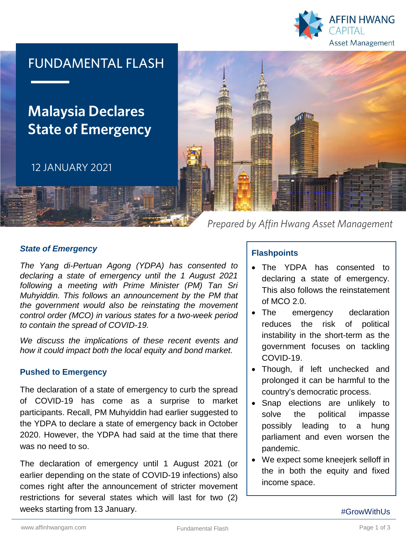

## FUNDAMENTAL FLASH

# **Malaysia Declares State of Emergency**

12 JANUARY 2021



*Prepared by Affin Hwang Asset Management*

#### *State of Emergency*

*The Yang di-Pertuan Agong (YDPA) has consented to declaring a state of emergency until the 1 August 2021 following a meeting with Prime Minister (PM) Tan Sri Muhyiddin. This follows an announcement by the PM that the government would also be reinstating the movement control order (MCO) in various states for a two-week period to contain the spread of COVID-19.*

*We discuss the implications of these recent events and how it could impact both the local equity and bond market.*

#### **Pushed to Emergency**

The declaration of a state of emergency to curb the spread of COVID-19 has come as a surprise to market participants. Recall, PM Muhyiddin had earlier suggested to the YDPA to declare a state of emergency back in October 2020. However, the YDPA had said at the time that there was no need to so.

The declaration of emergency until 1 August 2021 (or earlier depending on the state of COVID-19 infections) also comes right after the announcement of stricter movement restrictions for several states which will last for two (2) weeks starting from 13 January.

### **Flashpoints**

- The YDPA has consented to declaring a state of emergency. This also follows the reinstatement of MCO 2.0.
- The emergency declaration reduces the risk of political instability in the short-term as the government focuses on tackling COVID-19.
- Though, if left unchecked and prolonged it can be harmful to the country's democratic process.
- Snap elections are unlikely to solve the political impasse possibly leading to a hung parliament and even worsen the pandemic.
- We expect some kneejerk selloff in the in both the equity and fixed income space.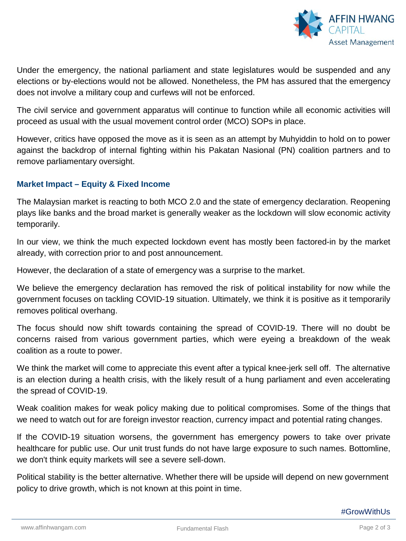

Under the emergency, the national parliament and state legislatures would be suspended and any elections or by-elections would not be allowed. Nonetheless, the PM has assured that the emergency does not involve a military coup and curfews will not be enforced.

The civil service and government apparatus will continue to function while all economic activities will proceed as usual with the usual movement control order (MCO) SOPs in place.

However, critics have opposed the move as it is seen as an attempt by Muhyiddin to hold on to power against the backdrop of internal fighting within his Pakatan Nasional (PN) coalition partners and to remove parliamentary oversight.

### **Market Impact – Equity & Fixed Income**

The Malaysian market is reacting to both MCO 2.0 and the state of emergency declaration. Reopening plays like banks and the broad market is generally weaker as the lockdown will slow economic activity temporarily.

In our view, we think the much expected lockdown event has mostly been factored-in by the market already, with correction prior to and post announcement.

However, the declaration of a state of emergency was a surprise to the market.

We believe the emergency declaration has removed the risk of political instability for now while the government focuses on tackling COVID-19 situation. Ultimately, we think it is positive as it temporarily removes political overhang.

The focus should now shift towards containing the spread of COVID-19. There will no doubt be concerns raised from various government parties, which were eyeing a breakdown of the weak coalition as a route to power.

We think the market will come to appreciate this event after a typical knee-jerk sell off. The alternative is an election during a health crisis, with the likely result of a hung parliament and even accelerating the spread of COVID-19.

Weak coalition makes for weak policy making due to political compromises. Some of the things that we need to watch out for are foreign investor reaction, currency impact and potential rating changes.

If the COVID-19 situation worsens, the government has emergency powers to take over private healthcare for public use. Our unit trust funds do not have large exposure to such names. Bottomline, we don't think equity markets will see a severe sell-down.

Political stability is the better alternative. Whether there will be upside will depend on new government policy to drive growth, which is not known at this point in time.